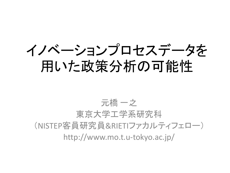イノベーションプロセスデータを 用いた政策分析の可能性

#### 元橋 一之 東京大学工学系研究科 (NISTEP客員研究員&RIETIファカルティフェロー) http://www.mo.t.u-tokyo.ac.jp/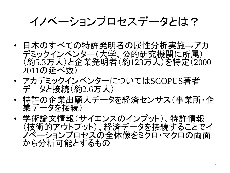イノベーションプロセスデータとは?

- 日本のすべての特許発明者の属性分析実施→アカ デミックインベンター(大学、公的研究機関に所属) (約5.3万人)と企業発明者(約123万人)を特定(2000- 2011の延べ数)
- アカデミックインベンターについてはSCOPUS著者 データと接続(約2.6万人)
- 特許の企業出願人データを経済センサス(事業所・企 業データを接続)
- 学術論文情報(サイエンスのインプット)、特許情報 (技術的アウトプット)、経済データを接続することでイ ノベーションプロセスの全体像をミクロ・マクロの両面 から分析可能とするもの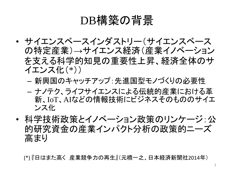### DB構築の背景

- サイエンスベースインダストリー(サイエンスベース の特定産業)→サイエンス経済(産業イノベーション を支える科学的知見の重要性上昇、経済全体のサ イエンス化(\*))
	- 新興国のキャッチアップ:先進国型モノづくりの必要性
	- ナノテク、ライフサイエンスによる伝統的産業における革 新、IoT、AIなどの情報技術にビジネスそのもののサイエ ンス化
- 科学技術政策とイノベーション政策のリンケージ:公 的研究資金の産業インパクト分析の政策的ニーズ 高まり

(\*) 『日はまた高く 産業競争力の再生』(元橋一之、日本経済新聞社2014年)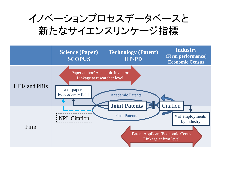イノベーションプロセスデータベースと 新たなサイエンスリンケージ指標

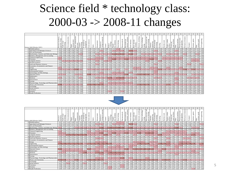## Science field \* technology class: 2000-03 -> 2008-11 changes

|                                                 |            | $\overline{2}$      | $\mathbf{3}$           | $\overline{A}$ | $\sim$            | 6               |                       | 8              | $\Omega$ | 10             | 11                                         | 12             | 13                | 14                   | 15            | 16                 | 17                                                  | 18                                    | 19              | 20                      | 21                              | 22              | 23             | 24        | 25       | 26                  | 27                            | 28                | 29           | 30                                | 31                 | 32             | 33                  | 34                | 35                 |
|-------------------------------------------------|------------|---------------------|------------------------|----------------|-------------------|-----------------|-----------------------|----------------|----------|----------------|--------------------------------------------|----------------|-------------------|----------------------|---------------|--------------------|-----------------------------------------------------|---------------------------------------|-----------------|-------------------------|---------------------------------|-----------------|----------------|-----------|----------|---------------------|-------------------------------|-------------------|--------------|-----------------------------------|--------------------|----------------|---------------------|-------------------|--------------------|
| Science field (Elseviar ASJC)                   | machinery, | echnology<br>Audio- | ommunications<br>Telec | Ē<br>Digital   | ition<br>ā<br>Bas |                 | nanageme<br>etho<br>ā | Semiconductor  | Optics   | Measurement    | terials<br>ъ<br>ś<br>biologic<br>y<br>knak | Control        | 응<br>Medical<br>ഉ | Organic<br>fine cher | Biotechnology | eutical<br>Pharmac | alar<br>port <sub></sub><br>acromolec<br>chemistry, | $\mathop{\mathrm{chemistry}}$<br>Food | É<br>mate<br>ã  | metallurgy<br>Materials | technology,<br>$\omega$<br>surf | technology<br>ġ |                | echnology | Handling | tools<br>chine<br>ž | pumps<br>Engines,<br>turbines | F<br>Textile<br>B | cial machine | apparatus<br>proc<br>Thermal<br>F | elem<br>Mechanical | Transport      | games<br>Furniture, |                   | engineering<br>Gwl |
| 10 Multidisciplinary                            | 0.01       | 0.00                | 0.00                   | 0.01           | 0.01              | 0.01            |                       | 0.02           | 0.01     | 0.02           | 0.03                                       | 0.00           | 0.01              | 0.03                 | 0.10          | 0.05               | 0.01                                                | 0.02                                  | 0.02            | 0.01                    | 0.01                            | 0.01            | 0.01           | 0.01      | 0.02     | 0.00                | 0.02                          | 0.00              | 0.04         | 0.00                              | 0.00               | 0.00           | 0.01                | 0.01              | 0.00               |
| 11 Agricultural and Biological Sciences         | 0.02       | 0.00                | 0.00                   | 0.00           | 0.00              | 0.02            |                       | 0.01           | 0.01     | 0.07           | 0.11                                       | 0.01           | 0.06              | 0.22                 | 0.70          | 0.40               | 0.07                                                | 1.71                                  | 0.35            | 0.02                    | 0.01                            | 0.02            | 0.06           | 0.15      | 0.02     | 0.04                | 0.04                          | 0.04              | 0.37         | 0.05                              | 0.01               | 0.01           | 0.07                | 0 <sub>0</sub>    | 0.03               |
| 12 Arts and Humanities                          | 0.00       | 0.00                | 0.00                   | 0.00           | 0.00              | 0 <sup>0</sup>  |                       | 0.00           | 0.00     | 0 <sup>0</sup> | 0.00                                       | 0 <sup>0</sup> | 0 <sup>0</sup>    | 0.00                 | 0.00          | 0.00               | 0.00                                                | 0.00                                  |                 | 0.00                    |                                 | 0.01            | 0 <sup>0</sup> | 0.00      | 0.00     | 0.00                | 0.00                          | 0 <sup>0</sup>    | 0.00         | 0.00                              | 0.00               | 0.00           | 0.00                |                   | 0.00               |
| 13 Biochemistry, Genetics and Molecular Biology | 0.08       | 0.03                | 0.03                   | 0.05           | 0.05              | 0.15            |                       | 0.08           | 0.07     | 0.42           | 0.77                                       | 0.1            | 0.89              |                      | 3.27          | 2.65               | 0.35                                                | 1.08                                  | 0.38            | 0.09                    |                                 | 0.20            | 0.20           | 0.27      | 0.22     |                     | 0.10                          | 0.12              | 0.80         | 0.06                              | 0.10               | 0.04           | 0.08                | 0.16              | 0.07               |
| 14 Business, Management and Accounting          | 0.00       | 0.00                | 0.00                   | 0.00           | 0.00              | 0.00            |                       | 0.00           | 0.00     | 0.00           | 0.00                                       | 0.00           | 0.0               | 0.00                 | 0.02          | 0.01               | 0.00                                                | 0.01                                  | 0.01            | 0 <sup>0</sup>          |                                 | 0.00            | 0.00           | 0.00      | 0.00     |                     | 0.00                          | 0.00              | 0.00         | 0.00                              | 0.00               | 0.00           | 0.00                | 0.00              | 0.00               |
| 15 Chemical Engineering                         | 0.13       | 0.01                | 0.01                   | 0.00           | 00                | 0.03            |                       | 0.06           | 0.03     | 0.11           | 0.16                                       | 0.04           | 0.23              | 0.23                 | 0.22          | 0.12               | 0.22                                                | 0.15                                  | 0.30            | 0.28                    |                                 | 0.15            | 0.65           | 0.32      | 0.05     | 0.11                | 0.1                           |                   | 0.15         | 0.19                              | 0.07               | 0.05           | 0.04                | 0.08              | 0.03               |
| 16 Chemistry                                    | 0.51       | 0.06                | 0.01                   | 0.02           | 0 <sup>0</sup>    | 00 <sup>6</sup> |                       | 0.20           | 0.21     |                | 0.99                                       | 00             | 0.18              | 2.09                 | 0.40          | 0.55               | 1.02.                                               | 0.26                                  |                 | 0.58                    | 0.52                            | 0.68            |                | 0.46      | 0.06     |                     |                               |                   |              |                                   | 0.08               |                | 0.21                |                   | 0.05               |
| 17 Computer Science                             | 0.04       | 0.13                | 0.33                   | 0.38           | 0.38              | 0.59            |                       | 0.04           | 0.07     | 0.1            | 0.05                                       | 0.34           | 0.18              | 0.01                 | 0.03          | 0.01               | 0.02                                                | 0.00                                  |                 | 0.01                    |                                 | 0.10            | 0 <sup>0</sup> | 0.05      | 0.68     | 0.02                | 0.03                          | 0.01              | 0.02         | 0.04                              | 0.07               |                | 0.55                | 0.21              | 0.03               |
| 18 Decision Sciences                            | 0.00       | 0.00                | 0.00                   | 0.02           | 0.00              | 0.01            |                       | 0.00           | 0.00     | 0.00           | 0.00                                       | 0.01           | 0.00              | 0.00                 | 0.00          | 0.00               | 0.00                                                | 0.00                                  |                 | 0 <sup>0</sup>          |                                 | 0.00            | 0.00           | 0.00      | 0.01     | 0.00                | 0.00                          | 0.00              | 0.00         | 0.00                              | 0.00               | 0.00           | 0.01                |                   | 0.01 0.00          |
| 19 Earth and Planetary Sciences                 | 0.03       | 0.01                | 0.03                   | 0.02           | -0.03             | 0.03            |                       | 0.02           | 0.01     | 0.12           | 0.08                                       | 0.03           | 0.02              | 0.02                 | 0.02          | 0.02               | 0.01                                                | 0.01                                  | 00 <sup>2</sup> | 0.04                    |                                 | 0.03            | 0.0            | 0.12      | 0.01     | 0.02                | 0.07                          | 0.00              | 0.03         | 0.05                              | 0.04               | 0.10           | 0.02                | $0.05 \ 0.11$     |                    |
| 20 Economics, Econometrics and Finance          | 0.00       | 0.00                | 0.00                   | 0.00           | 0.00              | 0 <sup>0</sup>  |                       | 0.00           | 0.00     | 0.00           | 0.00                                       | 0 <sup>0</sup> | 0.00              | 0.00                 | 0.00          | 0.00               | 0.00                                                | 0.00                                  | 0 <sup>0</sup>  | 0.00                    |                                 | 0.00            | 0.00           | 0.00      | 0.00     | 0.00                | 0.00                          | 0.00              | 0.00         | 0.00                              | 0.00               | 0.00           | 0.00                | 0.001             | 0.00               |
| 21 Energy                                       | 0.12       | 0.01                | 0.00                   | 0.00           | 0 <sub>0</sub>    | 0.02            |                       | 0.04           | 0.02     | 0.06           | 0.07                                       | 00             | 0.04              | 0.04                 | 0.01          | 0.01               | 0.02                                                | 0.01                                  |                 | 0.11                    |                                 | 0.05            | 0 <sup>1</sup> | 0.18      | 0.03     | 0.03                | 0.4                           | 0.02              | 0.05         | 0.26                              | 0.07               | 0.02           | 0.00                |                   | 0.02               |
| 22 Engineering                                  | 0.66       | 0.51                | 0.86                   | 0.58           | 1.10              | 0.61            |                       | 0.57           | 0.69     | 0.85           | 0.58                                       | 0.78           | $0.7^{\circ}$     | 0.08                 | 0.11          | 0.07               | 0.11                                                | 0.02                                  | 0.28            | 0.38                    | 0.53                            | 0.62            | 0.41           | 0.39      |          | 0.68                | 0.88                          | 0.12              | 0.22         | 0.63                              | 1.05               | 0.77           | 1.13                | $0.92 \ 0.38$     |                    |
| 23 Environmental Science                        | 0.01       | 0.00                | 0.01                   | 0.02           | 0.01              | 0.01            |                       | 0.01           | 0.00     | 0.04           | 0.05                                       | 0.01           | 0.01              | 0.03                 | 0.08          | 0.04               | 0.03                                                | 0.06                                  | 0.06            | 0.02                    | 00                              | 0.01            | 0.06           | 0.19      | 0.01     | 0.01                | 0.04                          | 0.01              | 0.05         | 0.03                              | 0.05               | 0.01           | 0.01                | 0.03              | 00                 |
| 24 Immunology and Microbiology                  | 0.01       | 0.00                | 0.00                   | 0.02           | 0 <sub>0</sub>    | 0.03            |                       | 0.02           | 0.01     | 0.08           | 0.14                                       | 0.02           | 0.08              | 0.22                 | 0.85          | 0.58               | 0.04                                                | 0.24                                  |                 | 0.0                     |                                 | 0.0             | 0.01           | 0.12      | 0.01     | 0.01                | 0.01                          | 0.02              | 0.36         | 0.02                              | 0.0                | 0.01           | 0 <sup>0</sup>      | 0.00              | 0.03               |
| 25 Materials Science                            | 0.77       | 0.25                | 0.07                   | 0.05           | 0.25              | 0 <sup>1</sup>  |                       | 1.03           | 0.50     | 0.52           | 0.75                                       | 0.10           | 0.6               |                      | 0.17          | 0.20               |                                                     | 0.06                                  |                 | 2.21                    |                                 | 142             | 0.80           | 0.44      | 0.13     | 0.99                | 0.36                          | 0.52              | 0.69         | 0.23                              | 0.39               | 0 <sup>0</sup> | 0.18                | 0.26              | 0.12               |
| 26 Mathematics                                  | 0.01       | 0.01                | 0.01                   | 0.05           | 0.04              | 0.07            |                       | 0.01           | 0.01     | 0.02           | 0.01                                       | 006            | 00 <sup>5</sup>   | 0.01                 | 0.01          | 0.00               | 0.0                                                 | 0.01                                  | 0.01            | 0.01                    |                                 | 0.01            | 0.0            | 0.00      | 0.03     | 0.01                | 0.02                          | 0.00              | 0.00         | 0.01                              | 0.01               | 0.01           | 0.06                | 0.08              | 0.01               |
| 27 Medicine                                     | 0.10       | 0.06                | 0.06                   | 0.08           | 0.06              | 0.21            |                       | 0.09           | 0.06     | 0.29           | 0.44                                       | 0.18           |                   | 0.87                 | 1,72          | 2.60               | 0.16                                                | 0.24                                  | 0.18            | 0.08                    | 0.09                            | 0.10            | 0.07           | 0.18      | 0.17     | 0.04                | 0.07                          | 0.04              | 0.57         | 0.09                              | 0.09               | 0.13           | 0.11                | $0.18$ 0.10       |                    |
| 28 Neuroscience                                 | 0.01       | 0.02                | 0.01                   | 0.01           | 0.01              | 0.04            |                       | 0.01           | 0.01     | 0.06           | 0.09                                       | 0.03           | 0.21              | 0.17                 | 0.32          | 0.47               | 0.03                                                | 0.05                                  | 0.01            | 0.01                    | 0.02                            | 0.02            | 0.02           | 0.04      | 0.04     | 0.01                | 0.01                          | 0.00              | 0.18         | 0.01                              | 0.01               | 0.01           | 0.07                | 0.05              | 0.01               |
| 29 Nursing                                      | 0.00       | 0.00                | 0.00                   | 0.00           | 0 <sup>0</sup>    | 0 <sup>0</sup>  |                       | 0.00           | 0.00     | 0.00           | 0.00                                       | 0 <sup>0</sup> | 0.02              | 0.01                 | 0.01          | 0.01               | 0.00                                                | 0.00                                  |                 | 0.00                    |                                 | 0.00            | 0.00           | 0.00      | 0.00     | 0.00                | 0.00                          | 0 <sup>0</sup>    | 0.00         | 0.00                              | 0.00               | 0.00           | 0.00                |                   | 0.00               |
| 30 Pharmacology, Toxicology and Pharmaceutic    | 0.01       | 0.0                 | 0.01                   | 0.02           | 0 <sup>0</sup>    | 0.02            |                       | 0 <sub>0</sub> | 0.01     | 0.07           | 0.12                                       | 0.01           | 0.12              | 0.58                 | 0.33          | 0.85               | 0.12                                                | 0.16                                  | 0.06            | 0.01                    |                                 | 0.09            | 0.0            | 0.03      | 0.08     | 0.01                | 0 <sub>0</sub>                | 0.02              | 0.12         | 0.02                              | 0.01               | 0.01           | 0.01                | ററി               | 0.01               |
| 31 Physics and Astronomy                        |            | 0.71                | 0.28                   | 0.19           | 0.88              | 0.28            |                       | 2.35           | 1.90     |                | 1.25                                       | 0.22           | 0.59              | 0.30                 | 0.21          | 0.19               | 0.32                                                | 0.12                                  | 0.93            | 1.24                    | 2.50                            | 1.58            | 0.88           | 0.79      | 0.21     | 0.63                |                               | 0.30              | 0.44         | 0.47                              | 0.42               | 0.20           | 0.25                | $0.62 \ 0.12$     |                    |
| 32 Psychology                                   | 0.00       | 0.00                | 0.00                   | 0.00           | 0.00              | 0.00            |                       | 0.00           | 0.00     | 0.00           | 0.00                                       | 0.00           | 0.01              | 0.01                 | 0.01          | 0.02               | 0.00                                                | 0.00                                  | 0.00            | 0.00                    | 0.00                            | 0.00            | 0.00           | 0.00      | 0.00     | 0.00                | 0.01                          | 0.00              | 0.00         | 0.00                              | 0.00               | 0.00           | 0.06                | 0. OO             | 0.00               |
| 33 Social Sciences                              | 0.00       | 0.00                | 0.00                   | 0.00           | 0.00              | 0.01            |                       | 0.00           | 0.00     | 0.00           | 0.00                                       | -0.01          | 0.00              | 0.00                 | 0.00          | 0.00               | 0.00                                                | 0.00                                  | 0.00            | 0.00                    | 0.00                            | 0.00            |                | 0.00      | 0.00     | 0.00                | 0.00                          | 0 <sup>o</sup>    | 0.00         | 0.01                              | 0.00               | 0.00           | 0.00                | 0.05              | 0.00               |
| 34 Veterinary                                   | 0.00       | 0.00                | 0.00                   | 0.00           | 0 <sup>0</sup>    | 0.00            |                       | 0.00           | 0.00     | 0.01           | 0.01                                       | 0 <sup>0</sup> | 0.01              | 0.01                 | 0.06          | 0.05               | 0.00                                                | 0.04                                  |                 | 0.00                    |                                 | 0.00            | 0.00           | 0.00      | 0.00     | 0.00                | 0.00                          | 0.00              | 0.02         | 0.00                              | 0.00               | 0.00           | 0.01                | 0.00              | 0.00               |
| 35 Dentistry                                    | 0.00       | 0.00                | 0.00                   | 0.01           | 0.00              | 0.00            |                       | 0.00           | 0.00     | 0.01           | 0.02                                       | 0.00           | 0.12              | 0.03                 | 0.03          | 0.10               | 0.00                                                | 0.01                                  | 0.00            | 0.01                    |                                 | 0.00            | 0.00           | 0.00      | 0.00     | 0.00                | 0.00                          | 0.00              | 0.00         | 0.00                              | 0.00               | 0.01           | 0.00                | റവ                | 0.00               |
| 36 Health Professions                           | 0.00       | 0.00                | 0.00                   | 0.00           | 0.00              | 0.01            |                       | 0.00           | 0.00     | 0.01           | 0.01                                       | 000            | 0.04              | 0.01                 | 0.01          | 0.02               | 0.00                                                | 0.00                                  | 0.00            | 0.01                    | 0.00                            | 0.00            | 0.00           | 0.02      | 0.00     | 0.00                | 0.01                          | 0.00              | 0.01         | 0.02                              | 0.01               | 0.00           | 0.02                | $0.01 \quad 0.00$ |                    |



|                                                 |       | 2           | 3                    | $\overline{4}$         | $\sim$            | 6              | $\tau$  | 8              | 9               | 10             | 11                              | 12                           | 13                         | 14                  | 15                           | 16            | 17                           | 18                                    | 19    | 20                          | 21                     | 22                                                    | 23             | 24         | 25       | 26               | 27                  | 28             | 29      | 30                                | 31            | 32             | 33                 | 34                | 35                        |
|-------------------------------------------------|-------|-------------|----------------------|------------------------|-------------------|----------------|---------|----------------|-----------------|----------------|---------------------------------|------------------------------|----------------------------|---------------------|------------------------------|---------------|------------------------------|---------------------------------------|-------|-----------------------------|------------------------|-------------------------------------------------------|----------------|------------|----------|------------------|---------------------|----------------|---------|-----------------------------------|---------------|----------------|--------------------|-------------------|---------------------------|
| Science field (Elseviar ASJC)                   |       | Audio-      | mmunications<br>Tele | mmunication<br>Digital | pommunication     |                | manage: | Semiconductors | Optics          | Measurement    | terials<br>Analysis<br>biologie | Control                      | Medical                    | Organic<br>fine che | Biotechnology                | euticals<br>£ | polymers<br>alar<br>enistry. | $\mathop{\mathrm{chemistry}}$<br>Food |       | tallurgy<br>Ë<br>Materials, | chnology.<br>હ<br>Šurf | $\overline{\mathbb{E}}$<br>$\overline{u}$<br>chaology | Chemi          | technology | Handling | tools<br>Machine | Engines<br>turbines | 결<br>Textile   | achine: | atus:<br>appa<br><b>Tana</b><br>ă | Mechanic      | Transport      | games<br>Furniture | оďѕ<br>ă          | engineering<br>$\rm{Gvi}$ |
| 10 Multidisciplinary                            | 0.01  | 0.01        | 0.01                 | 0.00                   | 0.02              | 0.02           | 0.02    | $_{0.0}$       | 0.02            | 0.04           | 0.07                            | 0.01                         | 0.03                       | 0.07                | 0.17                         | 0.11          | 0.02                         | 0.10                                  | 0.03  | 0.03                        | 0.03                   | 0.06                                                  | 0.02           | 0.05       | 0.01     | 0.02             | 0.03                | 0.01           | 0.07    | 0.01                              | 0.02          | 0.01           | 0.00               | 0.00              | 0.01                      |
| 11 Agricultural and Biological Sciences         | 0.03  | 0.02        | 0.01                 | 0.01                   | 0 <sub>m</sub>    | 00             | 0.05    |                | 0.02            | 0.11           | 0.21                            | 00                           | 0.07                       | 0.25                | 0.91                         | 0.43          | 0.07                         | 2.74                                  |       | 0.03                        |                        | 0.03                                                  | 0.09           | 0.22       | 0.04     | 0.09             | 0.05                | 0.07           | 0.96    | 0.07                              | 0.03          | 0.04           | 0.03               |                   | $0.05 - 0.16$             |
| 12 Arts and Humanities                          | 0.00  | 0.02        | 0.01                 | 0.01                   | 0.00              |                | 0.01    |                | 0.00            | 0 <sup>o</sup> | 0.00                            | 00                           | 0 <sup>0<sup>c</sup></sup> | 0.00                | 0.00                         | 0.00          | 0.00                         | 0.00                                  |       |                             |                        |                                                       | 0 <sup>0</sup> | 0.00       | 0.01     | 0 OC             | 0.00                | 0 <sup>0</sup> | 0.00    | 0.00                              | 0.00          | 0.00           | 0 <sub>o</sub>     |                   | 0.00                      |
| 13 Biochemistry, Genetics and Molecular Biology | 0.15  | 0.07        | 0.05                 | 0.06                   | 0.10              | 0.36           | 0.50    |                | 0.11            | 0.77           | 1.55                            | 0.24                         | 1.01                       | 2.17                | 4.06                         | 3.64          | 0.36                         | 1.92                                  | 0.49  | 0.19                        | 0.18                   | 0.32                                                  | 0.28           | 0.34       | 0.16     | 0.11             | 0.16                | 0.20           | 1.07    | 0.11                              | 0.10          | 0.07           | 0.21               | $0.24 \quad 0.05$ |                           |
| 14 Business, Management and Accounting          | 0.00  | 0.00        | 0.00                 | 0.01                   | 0.00              | 0.02           | 0.05    | 0.00           | 0.00            | 0.00           | 0.00                            | 0.03                         | 0.01                       | 0.01                | 0.01                         | 0.01          | 0.00                         | 0.02                                  | 0.00  | 0.00                        | 0.00                   | 0.00                                                  | 0.00           | 0.00       | 0.00     | 0.01             | 0.00                | 0.00           | 0.01    | 0.00                              | 0.00          | 0.00           | 0.01               | 0.00              | 0.00                      |
| 15 Chemical Engineering                         | 0.20  | 0.04        | 0.01                 | 0.01                   | 0.02              | 0.0            | 0.02    |                | 0.06            | 0.19           | 0.29                            | 0.14                         | 0.23                       | 0.47                | 0.33                         | 0.19          | 0.39                         | 0.19                                  | 0.38  | 0.42                        | 0.21                   | 0.43                                                  | 0.84           | 0.40       | 0.07     | 0.09             | 0.18                | 0.22           | 0.23    | 0.35                              | 0.17          | 0.05           | 0.08               | 0.03              | 0.04                      |
| 16 Chemistry                                    | 0.65  | 0.10        | 0.03                 | 0.04                   | 0.07              | 0.09           | 0.07    | 0.37           | 0.28            | 0.55           | 1.02                            | 0.09                         | 0.19                       | 2.08                | 0.64                         | 0.66          | 1.36                         | 0.41                                  | 0.951 | 1.00                        | 0.70                   | 1.35                                                  | 1.29           | 0.48       | 0.06     | 0.17             | 0.37                | 0.37           | 0.46    | 0.22                              | 0.13          | 0.04           | 0.20               | $0.19 \ 0.05$     |                           |
| 17 Computer Science                             | 0.22  | 0.76        | 1.27                 | 1.65                   | 1.35              | 2.51           | 1.63    | 0.19           | 0.34            | 0.57           | 0.22                            |                              | 0.69                       | 0.06                | 0.14                         | 0.07          | 0.07                         | 0.05                                  | 0.12  | 0.08                        | 0.09                   | 0.27                                                  | 0.10           | 0.14       | 2.39     | 0.17             | 0.26                | 0.06           | 0.11    | 0.19                              | 0.60          | 0.45           | 1.23               | $0.59 \ 0.24$     |                           |
| 18 Decision Sciences                            | 0.00  | 0.00        | 0.00                 | 0.01                   | 0.01              | $0.0^{\circ}$  | 0.05    | 0.00           | 0.00            | 0.00           | 0.00                            | 0.05                         | 0.00                       | 0.00                | 0.00                         | 0.00          | 0.00                         | 0.00                                  | 0.00  | 0.00                        | 0.00                   | 0.00                                                  | 0.00           | 0.00       | 0.00     | 0.00             | 0.00                | 0.00           | 0.00    | 0.00                              | 0.00          | 0.00           | 0.00               | 0.00              | 0.00                      |
| 19 Earth and Planetary Sciences                 | 0.03  | 0.01        | 0.02                 | 0.02                   | 0.08              | 0.0            | 0.06    | 0.03           | 0.05            | 0.20           | 0.15                            | 0.02                         | 0.04                       | 0.02                | 0.05                         | 0.02          | 0.01                         | 0.02                                  | 0.08  | 0.08                        | 0.02                   | 0.03                                                  | 0.08           | 0.27       | 0.02     | 0.07             | 0.19                | 0.00           | 0.05    | 0.09                              | 0.11          | 0.21           | 0.05               | 0.0000034         |                           |
| 20 Economics, Econometrics and Finance          | 0.00  | 0.00        | 0.00                 | 0.00                   | 0.00              | 0.00           | 0.03    | 0.00           | 0.00            | 0.00           | 0.00                            | 0.00                         | 0.00                       | 0.00                | 0.00                         | 0.00          | 0.00                         | 0.00                                  | 0.00  | 0.00                        |                        | 0.00                                                  | 0.00           | 0.00       | 0.00     | 0.00             | 0.00                | 0.00           | 0.00    | 0.00                              | 0.00          | 0.00           | 0.00               | 0.00              | 0.00                      |
| 21 Energy                                       | 0.37  | 0.01        | 0.02                 | 0.01                   | 0.08              | 0.0            | 0.10    | 0.09           | 0.02            | 0.12           | 0.12                            | 0.11                         | 0.04                       | 0.05                | 0.05                         | 0.02          | 0.04                         | 0.02                                  | 0.21  | 0.25                        | 0.11                   | 0.08                                                  | 0.27           | 0.27       | 0.04     | 0.07             | 0.99                | 0.04           | 0.06    | 0.40                              | 0.13          | 0.17           | 0.03               | $0.01 \ 0.09$     |                           |
| 22 Engineering                                  | 1.50  | 1.04        | 1.67                 |                        | $1.13 \quad 2.70$ | 1.29           | 0.84    | 1.72           | 1.22            | 1.84           | 1.33                            | 2.48                         | 1.45                       | 0.27                | 0.44                         | 0.34          | 0.35                         | 0.22                                  | 0.67  | 1.38                        | 1.12                   | 2.08                                                  | 0.92           | 0.82       | 2.48     | 1.92             | 1.57                | 0.49           | 0.70    | 1.04                              | 2.19          | 1.98           | 1.49               | $0.79$ 1.50       |                           |
| 23 Environmental Science                        | 0.04  | 0.01        | 0.01                 | 0.00                   | 0.01              | 0.02           | 0.09    | 0 <sub>0</sub> | 0.01            | 0.09           | 0.12                            | 0.02                         | 0.04                       | 0.08                | 0.14                         | 0.06          | 0.07                         | 0.14                                  | 0.15  | 0.08                        |                        | 0.04                                                  | 0.17           | 0.49       | 0.01     | 0.04             | 0.16                | 0.03           | 0.17    | 0.30                              | 0.06          | 0.03           | 0.02               | $0.03 \quad 0.15$ |                           |
| 24 Immunology and Microbiology                  | 0.02  | 0.01        | 0.01                 | 0.01                   | 00                |                | 0.05    |                | 0.01            | 0.1            | 0.22                            | 0.02                         | 0.10                       | 0.36                | 0.98                         | 0.77          | 0.05                         | 0.32                                  |       |                             |                        | 0.01                                                  | $0.0^{\circ}$  | 0.16       | 0.01     | 0.01             | 0.01                | 0.02           | 0.23    | 0.02                              | 0.02          | 0 <sup>0</sup> | 0.01               |                   | 0.00                      |
| 25 Materials Science                            | 1.02. | 0.43        | 0.28                 | 0.11                   | 0.54              |                | 0.07    |                | 0.83            |                | 0.91                            | 0.19                         | 0.79                       | 0.52                | 0.38                         | 0.35          |                              | 0.19                                  |       | 255                         |                        | 1.64                                                  |                | 0.55       | 0.18     | 1.36             | 0.63                | 0.82           | 0.87    | 0.41                              | 0.61          | 0.29           | 0.22               | $0.20 \ 0.18$     |                           |
| 26 Mathematics                                  | 0.04  | 0.10        | 0.13                 | 0.22                   | 0.21              | 0.37           | 0.51    | 0.03           | 0.06            | 0.11           | 0.07                            | 0.48                         | 0.11                       | 0.02                | 0.05                         | 0.02          | 0.02                         | 0.01                                  | 0.02  | 0.03                        | 0.02                   | 0.06                                                  | 0.03           | 0.05       | 0.16     | 0.05             | 0.07                | 0.01           | 0.03    | 0.05                              | 0.09          | 0.08           | 0.20               | $0.05 \ 0.04$     |                           |
| 27 Medicine                                     |       | $0.15$ 0.14 | 0.10                 | 0.07                   | 0.10              | 0.41           | 2.08    |                | $0.16$ 0.13     | 1.11           | 2.19                            | $0.45$ 3.49                  |                            | 2.28                | 3.55                         |               | $5.11 \quad 0.18$            | 0.60                                  | 0.26  | 0.15                        | 0.16                   | 0.15                                                  | 0.16           | 0.45       | 0.15     | 0.09             | 0.22                | 0.15           | 0.93    | 0.12                              | 0.17          | 0.14           | 0.60               | $0.43 \quad 0.09$ |                           |
| 28 Neuroscience                                 | 0.02  | 0.03        | 0.01                 | 0.01                   | 0.02              | 0.09           | 0.10    | 0.01           | 0.02            | 0.10           | 0.19                            | 0.08                         | 0.32                       | 0.30                | 0.30                         | 0.61          | 0.02                         | 0.03                                  | 0.02  | 0.01                        |                        | 0.01                                                  | 0.02           | 0.05       | 0.03     | 0.00             | 0.03                | 0.01           | 0.15    | 0.01                              | 0.02          | 0.03           | 0.05               | 0.08              | 0.00                      |
| 29 Nursing                                      | 0.00  | 0.00        | 0.00                 | 0.00                   | 0.00              | 0.00           | 0.03    | 0.00           | 0.00            | 0.01           | 0.01                            | 0.02                         | 0.03                       | 0.03                | 0.02                         | 0.07          | 0.00                         | 0.02                                  | 0.00  | 0.00                        |                        | 0.00                                                  | 0.00           | 0.00       | 0.00     | 0.00             | 0.00                | 0.00           | 0.01    | 0.00                              | 0.00          | 0.00           | 0.04               |                   | 0.01 0.00                 |
| 30 Pharmacology, Toxicology and Pharmaceutics   | 0.02  | 0.01        | 0.01                 | 0.00                   | 00                | 0 <sup>0</sup> |         |                | 0.02            | 0.12           | 0.24                            | 0.03                         | 0.14                       | 0.83                | 0.45                         |               | 0.09                         | 0.16                                  |       |                             |                        |                                                       |                | 0.04       | 0.02     |                  | 0.02                |                | 0.10    | 0.02                              | 0.0           | 0.01           | 0.02               | 0.05              | 0.01                      |
| 31 Physics and Astronomy                        | 1.51  |             | 0.76                 | 0.37                   | 1.28              | 0.50           |         |                | 2.69            |                | 1.75                            | 0.67                         | 0.97                       | 0.35                | 0.45                         | 0.31          | 0.46                         | 0.23                                  |       | 2.03                        |                        |                                                       |                | 2.10       | 0.23     |                  |                     | 0.40           | 0.70    | 0.86                              |               | 0.39           | 0.17               | $0.72 \ 0.21$     |                           |
| 32 Psychology                                   | 0.00  | 0.00        | 0.00                 | 0.00                   | 0.00              | 0.0            | 0.06    | 0.00           | 0.00            | 0.01           | 0.01                            | 0.04                         | 0.03                       | 0.01                | 0.01                         | 0.02          | 0.00                         | 0.00                                  | 0.00  | 0.00                        |                        | 0.00                                                  | 0.00           | 0.00       | 0.01     | 0.00             | 0.00                | 0.00           | 0.00    | 0.00                              | 0.00          | 0.02           | 0.05               | 0.02 0.00         |                           |
| 33 Social Sciences                              | 0.01  | 0.03        | 0.13                 | 0.08                   | 0.05              | 0.10           | 0.11    |                | 0.04            | 0.01           | 0.02                            | 0.1                          | 0.03                       | 0.01                | 0.01                         | 0.01          | 0.00                         | 0.00                                  | 0.00  | 0.01                        |                        | 0.01                                                  | 0.00           | 0.01       | 0.05     | 0.00             | 0.01                | 0.01           | 0.01    | 0.03                              | 0.02          | 0.03           | 0.01               | 0.03              | 0.03                      |
| 34 Veterinary                                   | 0.00  | 0.00        | 0.00                 | 0.00                   | 0.00              | 0.0            | 0.00    | 0.00           | 0.00            | 0.01           | 0.03                            | 0.00                         | 0.03                       | 0.05                | 0.10                         | 0.13          | 0.00                         | 0.09                                  | 0.01  | 0.00                        |                        | 0.00                                                  | 0.0(           | 0.01       | 0.00     | 0.01             | 0.00                | 0.01           | 0.04    | 0.00                              | 0.00          | 0.00           | 0.00               | 0.01 0.00         |                           |
| 35 Dentistry                                    | 0.00  | 0.00        | 0.00                 |                        | $0.00 \ 0.00$     | 0.00           | 0.02    | 0.00           | 0.00            | 0.01           | 0.01                            | 0.01                         | 0.24                       | 0.05                | 0.07                         | 0.14          | 0.01                         | 0.00                                  | 0.00  | 0.02                        | 0.00                   | 0.01                                                  | 0.00           | 0.01       | 0.00     | 0.00             | 0.00                | 0.01           | 0.01    | 0.00                              | 0.01          | 0.00           | 0.03               | $0.01$ 0.01       |                           |
| 36 Health Professions                           |       | 0.000 0.01  | 0.00                 |                        | $0.00 \ 0.00$     | 0.03           | 0.04    |                | $0.00 \pm 0.00$ | 0.01           |                                 | $0.01 \quad 0.02 \quad 0.11$ |                            |                     | $0.02 \quad 0.02 \quad 0.03$ |               | 0.00                         | 0.01                                  | 0.001 | 0.00                        | 0.00                   | 0.00                                                  | 0.00           | 0.04       | 0.01     | 0.00             | 0.01                | 0.01           | 0.02    |                                   | $0.00 \ 0.01$ |                | $0.01$ 0.10        | 0.02              | 0.00                      |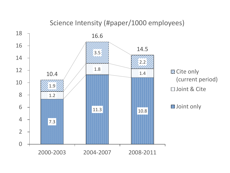#### Science Intensity (#paper/1000 employees)

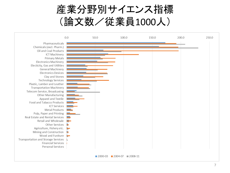

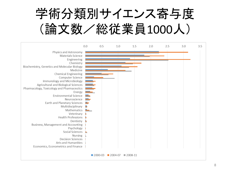

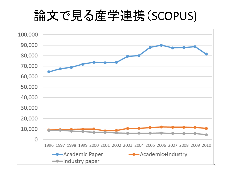# 論文で見る産学連携(SCOPUS)